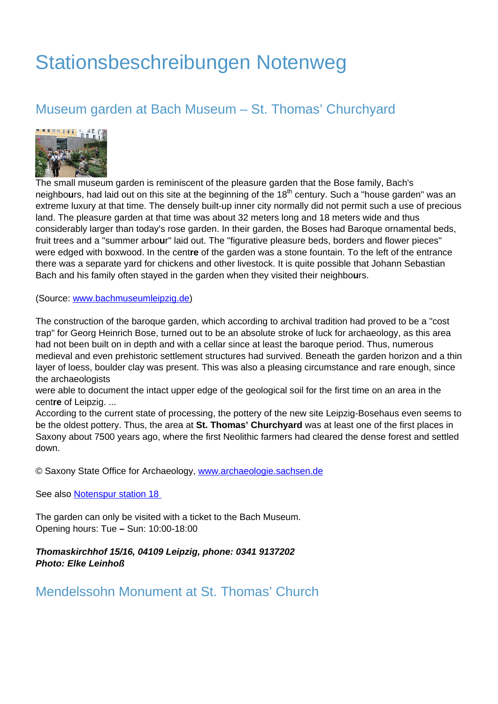# Stationsbeschreibungen Notenweg

## Museum garden at Bach Museum – St. Thomas' Churchyard



The small museum garden is reminiscent of the pleasure garden that the Bose family, Bach's neighbours, had laid out on this site at the beginning of the 18<sup>th</sup> century. Such a "house garden" was an extreme luxury at that time. The densely built-up inner city normally did not permit such a use of precious land. The pleasure garden at that time was about 32 meters long and 18 meters wide and thus considerably larger than today's rose garden. In their garden, the Boses had Baroque ornamental beds, fruit trees and a "summer arbo**u**r" laid out. The "figurative pleasure beds, borders and flower pieces" were edged with boxwood. In the cent**re** of the garden was a stone fountain. To the left of the entrance there was a separate yard for chickens and other livestock. It is quite possible that Johann Sebastian Bach and his family often stayed in the garden when they visited their neighbo**u**rs.

(Source: [www.bachmuseumleipzig.de\)](http://www.bachmuseumleipzig.de)

The construction of the baroque garden, which according to archival tradition had proved to be a "cost trap" for Georg Heinrich Bose, turned out to be an absolute stroke of luck for archaeology, as this area had not been built on in depth and with a cellar since at least the baroque period. Thus, numerous medieval and even prehistoric settlement structures had survived. Beneath the garden horizon and a thin layer of loess, boulder clay was present. This was also a pleasing circumstance and rare enough, since the archaeologists

were able to document the intact upper edge of the geological soil for the first time on an area in the cent**re** of Leipzig. ...

According to the current state of processing, the pottery of the new site Leipzig-Bosehaus even seems to be the oldest pottery. Thus, the area at **St. Thomas' Churchyard** was at least one of the first places in Saxony about 7500 years ago, where the first Neolithic farmers had cleared the dense forest and settled down.

© Saxony State Office for Archaeology, www.archaeologie.sachsen.de

See also Notenspur station 18

The garden can only be visited with a ticket to the Bach Museum. Opening hours: Tue **–** Sun: 10:00-18:00

**Thomaskirchhof 15/16, 04109 Leipzig, phone: 0341 9137202 Photo: Elke Leinhoß**

Mendelssohn Monument at St. Thomas' Church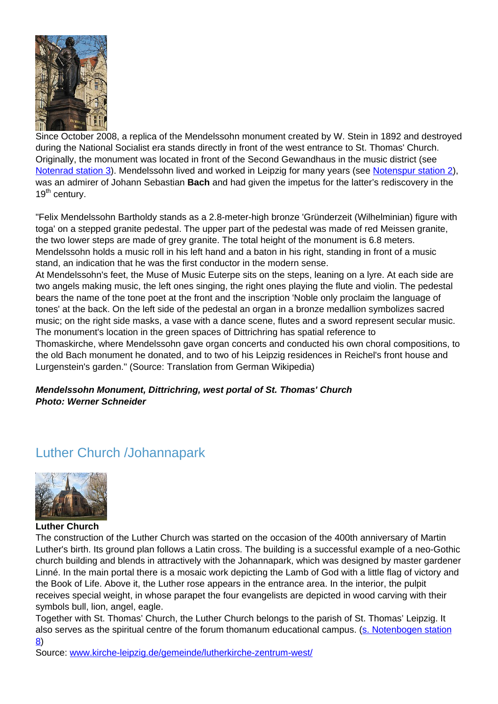

Since October 2008, a replica of the Mendelssohn monument created by W. Stein in 1892 and destroyed during the National Socialist era stands directly in front of the west entrance to St. Thomas' Church. Originally, the monument was located in front of the Second Gewandhaus in the music district (see Notenrad station 3). Mendelssohn lived and worked in Leipzig for many years (see Notenspur station 2), was an admirer of Johann Sebastian **Bach** and had given the impetus for the latter's rediscovery in the 19<sup>th</sup> century.

"Felix Mendelssohn Bartholdy stands as a 2.8-meter-high bronze 'Gründerzeit (Wilhelminian) figure with toga' on a stepped granite pedestal. The upper part of the pedestal was made of red Meissen granite, the two lower steps are made of grey granite. The total height of the monument is 6.8 meters. Mendelssohn holds a music roll in his left hand and a baton in his right, standing in front of a music stand, an indication that he was the first conductor in the modern sense.

At Mendelssohn's feet, the Muse of Music Euterpe sits on the steps, leaning on a lyre. At each side are two angels making music, the left ones singing, the right ones playing the flute and violin. The pedestal bears the name of the tone poet at the front and the inscription 'Noble only proclaim the language of tones' at the back. On the left side of the pedestal an organ in a bronze medallion symbolizes sacred music; on the right side masks, a vase with a dance scene, flutes and a sword represent secular music. The monument's location in the green spaces of Dittrichring has spatial reference to

Thomaskirche, where Mendelssohn gave organ concerts and conducted his own choral compositions, to the old Bach monument he donated, and to two of his Leipzig residences in Reichel's front house and Lurgenstein's garden." (Source: Translation from German Wikipedia)

### **Mendelssohn Monument, Dittrichring, west portal of St. Thomas' Church Photo: Werner Schneider**

### Luther Church /Johannapark



**Luther Church**

The construction of the Luther Church was started on the occasion of the 400th anniversary of Martin Luther's birth. Its ground plan follows a Latin cross. The building is a successful example of a neo-Gothic church building and blends in attractively with the Johannapark, which was designed by master gardener Linné. In the main portal there is a mosaic work depicting the Lamb of God with a little flag of victory and the Book of Life. Above it, the Luther rose appears in the entrance area. In the interior, the pulpit receives special weight, in whose parapet the four evangelists are depicted in wood carving with their symbols bull, lion, angel, eagle.

Together with St. Thomas' Church, the Luther Church belongs to the parish of St. Thomas' Leipzig. It also serves as the spiritual centre of the forum thomanum educational campus. (s. Notenbogen station 8)

Source: www.kirche-leipzig.de/gemeinde/lutherkirche-zentrum-west/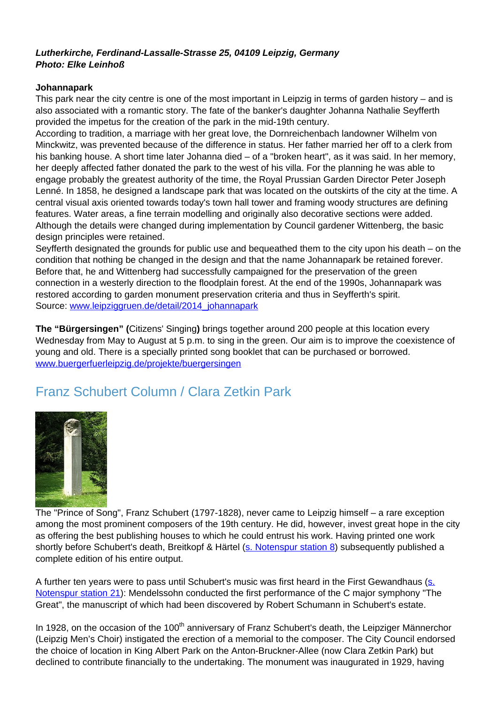#### **Lutherkirche, Ferdinand-Lassalle-Strasse 25, 04109 Leipzig, Germany Photo: Elke Leinhoß**

#### **Johannapark**

This park near the city centre is one of the most important in Leipzig in terms of garden history – and is also associated with a romantic story. The fate of the banker's daughter Johanna Nathalie Seyfferth provided the impetus for the creation of the park in the mid-19th century.

According to tradition, a marriage with her great love, the Dornreichenbach landowner Wilhelm von Minckwitz, was prevented because of the difference in status. Her father married her off to a clerk from his banking house. A short time later Johanna died – of a "broken heart", as it was said. In her memory, her deeply affected father donated the park to the west of his villa. For the planning he was able to engage probably the greatest authority of the time, the Royal Prussian Garden Director Peter Joseph Lenné. In 1858, he designed a landscape park that was located on the outskirts of the city at the time. A central visual axis oriented towards today's town hall tower and framing woody structures are defining features. Water areas, a fine terrain modelling and originally also decorative sections were added. Although the details were changed during implementation by Council gardener Wittenberg, the basic design principles were retained.

Seyfferth designated the grounds for public use and bequeathed them to the city upon his death – on the condition that nothing be changed in the design and that the name Johannapark be retained forever. Before that, he and Wittenberg had successfully campaigned for the preservation of the green connection in a westerly direction to the floodplain forest. At the end of the 1990s, Johannapark was restored according to garden monument preservation criteria and thus in Seyfferth's spirit. Source: www.leipziggruen.de/detail/2014\_johannapark

**The "Bürgersingen" (**Citizens' Singing**)** brings together around 200 people at this location every Wednesday from May to August at 5 p.m. to sing in the green. Our aim is to improve the coexistence of young and old. There is a specially printed song booklet that can be purchased or borrowed. www.buergerfuerleipzig.de/projekte/buergersingen

# Franz Schubert Column / Clara Zetkin Park



The "Prince of Song", Franz Schubert (1797-1828), never came to Leipzig himself – a rare exception among the most prominent composers of the 19th century. He did, however, invest great hope in the city as offering the best publishing houses to which he could entrust his work. Having printed one work shortly before Schubert's death, Breitkopf & Härtel (s. Notenspur station 8) subsequently published a complete edition of his entire output.

A further ten years were to pass until Schubert's music was first heard in the First Gewandhaus (s. Notenspur station 21): Mendelssohn conducted the first performance of the C major symphony "The Great", the manuscript of which had been discovered by Robert Schumann in Schubert's estate.

In 1928, on the occasion of the 100<sup>th</sup> anniversary of Franz Schubert's death, the Leipziger Männerchor (Leipzig Men's Choir) instigated the erection of a memorial to the composer. The City Council endorsed the choice of location in King Albert Park on the Anton-Bruckner-Allee (now Clara Zetkin Park) but declined to contribute financially to the undertaking. The monument was inaugurated in 1929, having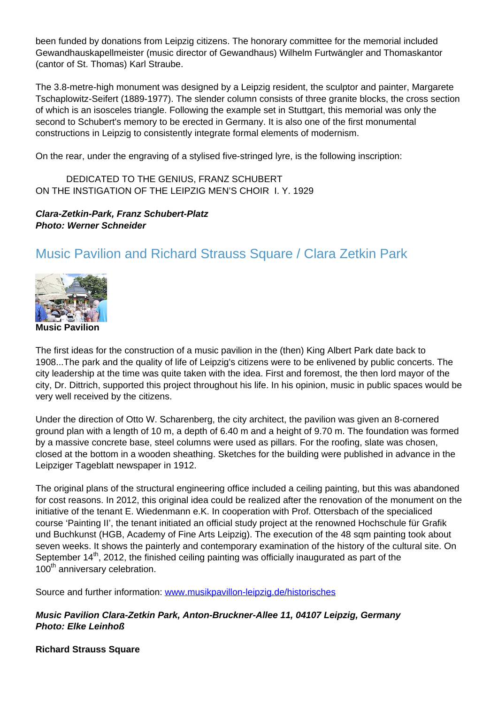been funded by donations from Leipzig citizens. The honorary committee for the memorial included Gewandhauskapellmeister (music director of Gewandhaus) Wilhelm Furtwängler and Thomaskantor (cantor of St. Thomas) Karl Straube.

The 3.8-metre-high monument was designed by a Leipzig resident, the sculptor and painter, Margarete Tschaplowitz-Seifert (1889-1977). The slender column consists of three granite blocks, the cross section of which is an isosceles triangle. Following the example set in Stuttgart, this memorial was only the second to Schubert's memory to be erected in Germany. It is also one of the first monumental constructions in Leipzig to consistently integrate formal elements of modernism.

On the rear, under the engraving of a stylised five-stringed lyre, is the following inscription:

 DEDICATED TO THE GENIUS, FRANZ SCHUBERT ON THE INSTIGATION OF THE LEIPZIG MEN'S CHOIR I. Y. 1929

### **Clara-Zetkin-Park, Franz Schubert-Platz Photo: Werner Schneider**

# Music Pavilion and Richard Strauss Square / Clara Zetkin Park



The first ideas for the construction of a music pavilion in the (then) King Albert Park date back to 1908...The park and the quality of life of Leipzig's citizens were to be enlivened by public concerts. The city leadership at the time was quite taken with the idea. First and foremost, the then lord mayor of the city, Dr. Dittrich, supported this project throughout his life. In his opinion, music in public spaces would be very well received by the citizens.

Under the direction of Otto W. Scharenberg, the city architect, the pavilion was given an 8-cornered ground plan with a length of 10 m, a depth of 6.40 m and a height of 9.70 m. The foundation was formed by a massive concrete base, steel columns were used as pillars. For the roofing, slate was chosen, closed at the bottom in a wooden sheathing. Sketches for the building were published in advance in the Leipziger Tageblatt newspaper in 1912.

The original plans of the structural engineering office included a ceiling painting, but this was abandoned for cost reasons. In 2012, this original idea could be realized after the renovation of the monument on the initiative of the tenant E. Wiedenmann e.K. In cooperation with Prof. Ottersbach of the specialiced course 'Painting II', the tenant initiated an official study project at the renowned Hochschule für Grafik und Buchkunst (HGB, Academy of Fine Arts Leipzig). The execution of the 48 sqm painting took about seven weeks. It shows the painterly and contemporary examination of the history of the cultural site. On September  $14<sup>th</sup>$ , 2012, the finished ceiling painting was officially inaugurated as part of the 100<sup>th</sup> anniversary celebration.

Source and further information: www.musikpavillon-leipzig.de/historisches

**Music Pavilion Clara-Zetkin Park, Anton-Bruckner-Allee 11, 04107 Leipzig, Germany Photo: Elke Leinhoß**

**Richard Strauss Square**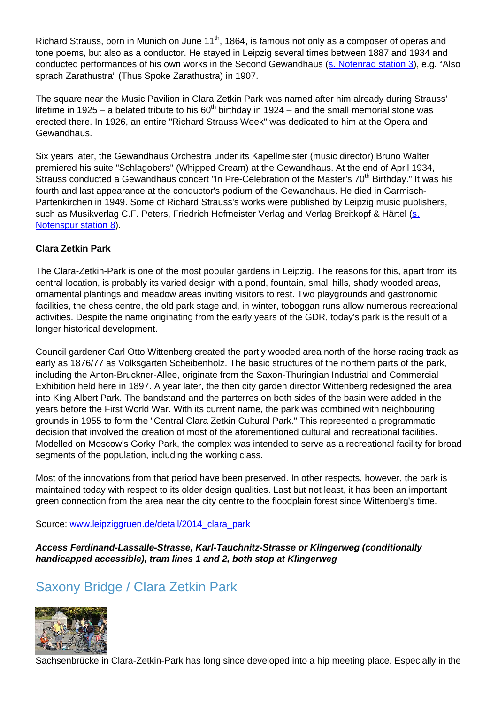Richard Strauss, born in Munich on June 11<sup>th</sup>, 1864, is famous not only as a composer of operas and tone poems, but also as a conductor. He stayed in Leipzig several times between 1887 and 1934 and conducted performances of his own works in the Second Gewandhaus (s. Notenrad station 3), e.g. "Also sprach Zarathustra" (Thus Spoke Zarathustra) in 1907.

The square near the Music Pavilion in Clara Zetkin Park was named after him already during Strauss' lifetime in 1925 – a belated tribute to his  $60<sup>th</sup>$  birthday in 1924 – and the small memorial stone was erected there. In 1926, an entire "Richard Strauss Week" was dedicated to him at the Opera and Gewandhaus.

Six years later, the Gewandhaus Orchestra under its Kapellmeister (music director) Bruno Walter premiered his suite "Schlagobers" (Whipped Cream) at the Gewandhaus. At the end of April 1934, Strauss conducted a Gewandhaus concert "In Pre-Celebration of the Master's 70<sup>th</sup> Birthday." It was his fourth and last appearance at the conductor's podium of the Gewandhaus. He died in Garmisch-Partenkirchen in 1949. Some of Richard Strauss's works were published by Leipzig music publishers, such as Musikverlag C.F. Peters, Friedrich Hofmeister Verlag and Verlag Breitkopf & Härtel (s. Notenspur station 8).

### **Clara Zetkin Park**

The Clara-Zetkin-Park is one of the most popular gardens in Leipzig. The reasons for this, apart from its central location, is probably its varied design with a pond, fountain, small hills, shady wooded areas, ornamental plantings and meadow areas inviting visitors to rest. Two playgrounds and gastronomic facilities, the chess centre, the old park stage and, in winter, toboggan runs allow numerous recreational activities. Despite the name originating from the early years of the GDR, today's park is the result of a longer historical development.

Council gardener Carl Otto Wittenberg created the partly wooded area north of the horse racing track as early as 1876/77 as Volksgarten Scheibenholz. The basic structures of the northern parts of the park, including the Anton-Bruckner-Allee, originate from the Saxon-Thuringian Industrial and Commercial Exhibition held here in 1897. A year later, the then city garden director Wittenberg redesigned the area into King Albert Park. The bandstand and the parterres on both sides of the basin were added in the years before the First World War. With its current name, the park was combined with neighbouring grounds in 1955 to form the "Central Clara Zetkin Cultural Park." This represented a programmatic decision that involved the creation of most of the aforementioned cultural and recreational facilities. Modelled on Moscow's Gorky Park, the complex was intended to serve as a recreational facility for broad segments of the population, including the working class.

Most of the innovations from that period have been preserved. In other respects, however, the park is maintained today with respect to its older design qualities. Last but not least, it has been an important green connection from the area near the city centre to the floodplain forest since Wittenberg's time.

Source: www.leipziggruen.de/detail/2014 clara\_park

**Access Ferdinand-Lassalle-Strasse, Karl-Tauchnitz-Strasse or Klingerweg (conditionally handicapped accessible), tram lines 1 and 2, both stop at Klingerweg**

# Saxony Bridge / Clara Zetkin Park



Sachsenbrücke in Clara-Zetkin-Park has long since developed into a hip meeting place. Especially in the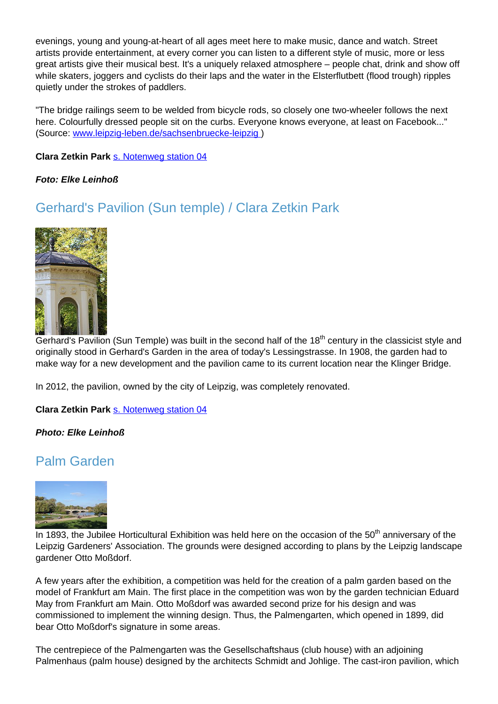evenings, young and young-at-heart of all ages meet here to make music, dance and watch. Street artists provide entertainment, at every corner you can listen to a different style of music, more or less great artists give their musical best. It's a uniquely relaxed atmosphere – people chat, drink and show off while skaters, joggers and cyclists do their laps and the water in the Elsterflutbett (flood trough) ripples quietly under the strokes of paddlers.

"The bridge railings seem to be welded from bicycle rods, so closely one two-wheeler follows the next here. Colourfully dressed people sit on the curbs. Everyone knows everyone, at least on Facebook..." (Source: www.leipzig-leben.de/sachsenbruecke-leipzig )

**Clara Zetkin Park** s. Notenweg station 04

#### **Foto: Elke Leinhoß**

### Gerhard's Pavilion (Sun temple) / Clara Zetkin Park



Gerhard's Pavilion (Sun Temple) was built in the second half of the 18<sup>th</sup> century in the classicist style and originally stood in Gerhard's Garden in the area of today's Lessingstrasse. In 1908, the garden had to make way for a new development and the pavilion came to its current location near the Klinger Bridge.

In 2012, the pavilion, owned by the city of Leipzig, was completely renovated.

**Clara Zetkin Park** s. Notenweg station 04

#### **Photo: Elke Leinhoß**

### Palm Garden



In 1893, the Jubilee Horticultural Exhibition was held here on the occasion of the  $50<sup>th</sup>$  anniversary of the Leipzig Gardeners' Association. The grounds were designed according to plans by the Leipzig landscape gardener Otto Moßdorf.

A few years after the exhibition, a competition was held for the creation of a palm garden based on the model of Frankfurt am Main. The first place in the competition was won by the garden technician Eduard May from Frankfurt am Main. Otto Moßdorf was awarded second prize for his design and was commissioned to implement the winning design. Thus, the Palmengarten, which opened in 1899, did bear Otto Moßdorf's signature in some areas.

The centrepiece of the Palmengarten was the Gesellschaftshaus (club house) with an adjoining Palmenhaus (palm house) designed by the architects Schmidt and Johlige. The cast-iron pavilion, which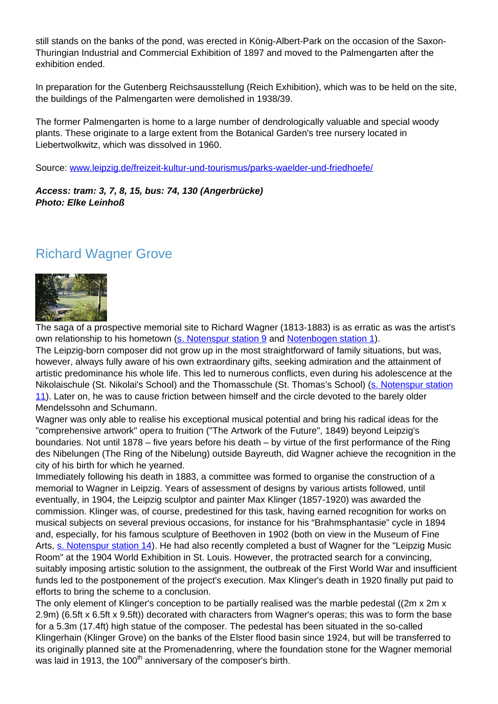still stands on the banks of the pond, was erected in König-Albert-Park on the occasion of the Saxon-Thuringian Industrial and Commercial Exhibition of 1897 and moved to the Palmengarten after the exhibition ended.

In preparation for the Gutenberg Reichsausstellung (Reich Exhibition), which was to be held on the site, the buildings of the Palmengarten were demolished in 1938/39.

The former Palmengarten is home to a large number of dendrologically valuable and special woody plants. These originate to a large extent from the Botanical Garden's tree nursery located in Liebertwolkwitz, which was dissolved in 1960.

Source: www.leipzig.de/freizeit-kultur-und-tourismus/parks-waelder-und-friedhoefe/

**Access: tram: 3, 7, 8, 15, bus: 74, 130 (Angerbrücke) Photo: Elke Leinhoß**

### Richard Wagner Grove



The saga of a prospective memorial site to Richard Wagner (1813-1883) is as erratic as was the artist's own relationship to his hometown (s. Notenspur station 9 and Notenbogen station 1).

The Leipzig-born composer did not grow up in the most straightforward of family situations, but was, however, always fully aware of his own extraordinary gifts, seeking admiration and the attainment of artistic predominance his whole life. This led to numerous conflicts, even during his adolescence at the Nikolaischule (St. Nikolai's School) and the Thomasschule (St. Thomas's School) (s. Notenspur station 11). Later on, he was to cause friction between himself and the circle devoted to the barely older Mendelssohn and Schumann.

Wagner was only able to realise his exceptional musical potential and bring his radical ideas for the "comprehensive artwork" opera to fruition ("The Artwork of the Future", 1849) beyond Leipzig's boundaries. Not until 1878 – five years before his death – by virtue of the first performance of the Ring des Nibelungen (The Ring of the Nibelung) outside Bayreuth, did Wagner achieve the recognition in the city of his birth for which he yearned.

Immediately following his death in 1883, a committee was formed to organise the construction of a memorial to Wagner in Leipzig. Years of assessment of designs by various artists followed, until eventually, in 1904, the Leipzig sculptor and painter Max Klinger (1857-1920) was awarded the commission. Klinger was, of course, predestined for this task, having earned recognition for works on musical subjects on several previous occasions, for instance for his "Brahmsphantasie" cycle in 1894 and, especially, for his famous sculpture of Beethoven in 1902 (both on view in the Museum of Fine Arts, s. Notenspur station 14). He had also recently completed a bust of Wagner for the "Leipzig Music Room" at the 1904 World Exhibition in St. Louis. However, the protracted search for a convincing, suitably imposing artistic solution to the assignment, the outbreak of the First World War and insufficient funds led to the postponement of the project's execution. Max Klinger's death in 1920 finally put paid to efforts to bring the scheme to a conclusion.

The only element of Klinger's conception to be partially realised was the marble pedestal ((2m x 2m x 2.9m) (6.5ft x 6.5ft x 9.5ft)) decorated with characters from Wagner's operas; this was to form the base for a 5.3m (17.4ft) high statue of the composer. The pedestal has been situated in the so-called Klingerhain (Klinger Grove) on the banks of the Elster flood basin since 1924, but will be transferred to its originally planned site at the Promenadenring, where the foundation stone for the Wagner memorial was laid in 1913, the 100<sup>th</sup> anniversary of the composer's birth.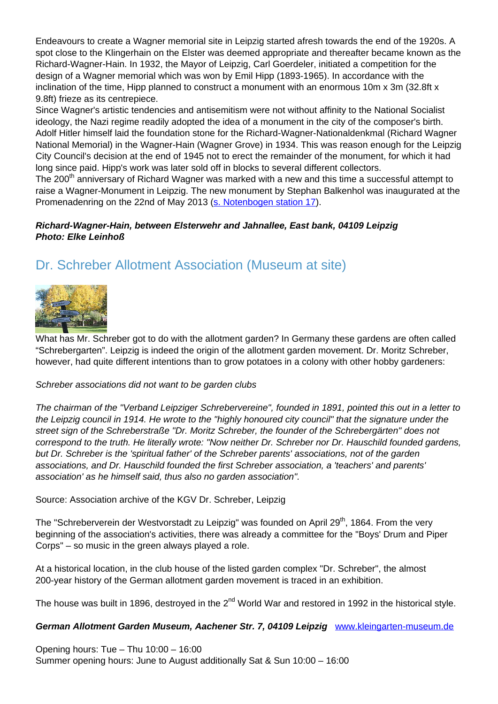Endeavours to create a Wagner memorial site in Leipzig started afresh towards the end of the 1920s. A spot close to the Klingerhain on the Elster was deemed appropriate and thereafter became known as the Richard-Wagner-Hain. In 1932, the Mayor of Leipzig, Carl Goerdeler, initiated a competition for the design of a Wagner memorial which was won by Emil Hipp (1893-1965). In accordance with the inclination of the time, Hipp planned to construct a monument with an enormous 10m x 3m (32.8ft x 9.8ft) frieze as its centrepiece.

Since Wagner's artistic tendencies and antisemitism were not without affinity to the National Socialist ideology, the Nazi regime readily adopted the idea of a monument in the city of the composer's birth. Adolf Hitler himself laid the foundation stone for the Richard-Wagner-Nationaldenkmal (Richard Wagner National Memorial) in the Wagner-Hain (Wagner Grove) in 1934. This was reason enough for the Leipzig City Council's decision at the end of 1945 not to erect the remainder of the monument, for which it had long since paid. Hipp's work was later sold off in blocks to several different collectors.

The 200<sup>th</sup> anniversary of Richard Wagner was marked with a new and this time a successful attempt to raise a Wagner-Monument in Leipzig. The new monument by Stephan Balkenhol was inaugurated at the Promenadenring on the 22nd of May 2013 (s. Notenbogen station 17).

### **Richard-Wagner-Hain, between Elsterwehr and Jahnallee, East bank, 04109 Leipzig Photo: Elke Leinhoß**

# Dr. Schreber Allotment Association (Museum at site)



What has Mr. Schreber got to do with the allotment garden? In Germany these gardens are often called "Schrebergarten". Leipzig is indeed the origin of the allotment garden movement. Dr. Moritz Schreber, however, had quite different intentions than to grow potatoes in a colony with other hobby gardeners:

### Schreber associations did not want to be garden clubs

The chairman of the "Verband Leipziger Schrebervereine", founded in 1891, pointed this out in a letter to the Leipzig council in 1914. He wrote to the "highly honoured city council" that the signature under the street sign of the Schreberstraße "Dr. Moritz Schreber, the founder of the Schrebergärten" does not correspond to the truth. He literally wrote: "Now neither Dr. Schreber nor Dr. Hauschild founded gardens, but Dr. Schreber is the 'spiritual father' of the Schreber parents' associations, not of the garden associations, and Dr. Hauschild founded the first Schreber association, a 'teachers' and parents' association' as he himself said, thus also no garden association".

Source: Association archive of the KGV Dr. Schreber, Leipzig

The "Schreberverein der Westvorstadt zu Leipzig" was founded on April 29<sup>th</sup>, 1864. From the very beginning of the association's activities, there was already a committee for the "Boys' Drum and Piper Corps" – so music in the green always played a role.

At a historical location, in the club house of the listed garden complex "Dr. Schreber", the almost 200-year history of the German allotment garden movement is traced in an exhibition.

The house was built in 1896, destroved in the 2<sup>nd</sup> World War and restored in 1992 in the historical style.

### **German Allotment Garden Museum, Aachener Str. 7, 04109 Leipzig** www.kleingarten-museum.de

Opening hours: Tue – Thu 10:00 – 16:00 Summer opening hours: June to August additionally Sat & Sun 10:00 – 16:00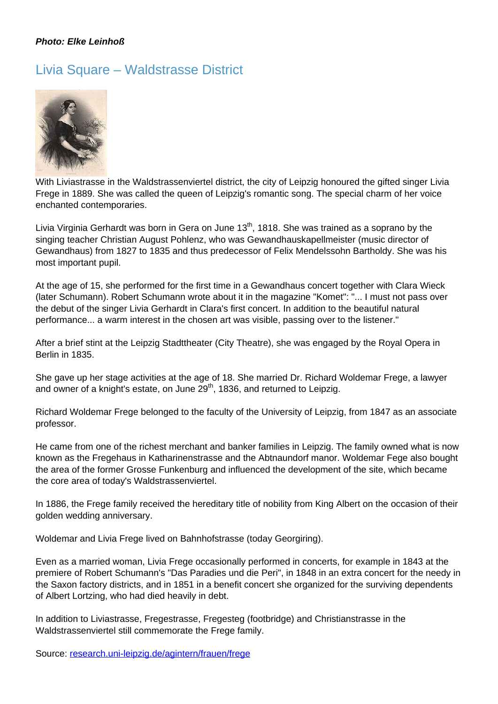### **Photo: Elke Leinhoß**

# Livia Square – Waldstrasse District



With Liviastrasse in the Waldstrassenviertel district, the city of Leipzig honoured the gifted singer Livia Frege in 1889. She was called the queen of Leipzig's romantic song. The special charm of her voice enchanted contemporaries.

Livia Virginia Gerhardt was born in Gera on June  $13<sup>th</sup>$ , 1818. She was trained as a soprano by the singing teacher Christian August Pohlenz, who was Gewandhauskapellmeister (music director of Gewandhaus) from 1827 to 1835 and thus predecessor of Felix Mendelssohn Bartholdy. She was his most important pupil.

At the age of 15, she performed for the first time in a Gewandhaus concert together with Clara Wieck (later Schumann). Robert Schumann wrote about it in the magazine "Komet": "... I must not pass over the debut of the singer Livia Gerhardt in Clara's first concert. In addition to the beautiful natural performance... a warm interest in the chosen art was visible, passing over to the listener."

After a brief stint at the Leipzig Stadttheater (City Theatre), she was engaged by the Royal Opera in Berlin in 1835.

She gave up her stage activities at the age of 18. She married Dr. Richard Woldemar Frege, a lawyer and owner of a knight's estate, on June  $29<sup>th</sup>$ , 1836, and returned to Leipzig.

Richard Woldemar Frege belonged to the faculty of the University of Leipzig, from 1847 as an associate professor.

He came from one of the richest merchant and banker families in Leipzig. The family owned what is now known as the Fregehaus in Katharinenstrasse and the Abtnaundorf manor. Woldemar Fege also bought the area of the former Grosse Funkenburg and influenced the development of the site, which became the core area of today's Waldstrassenviertel.

In 1886, the Frege family received the hereditary title of nobility from King Albert on the occasion of their golden wedding anniversary.

Woldemar and Livia Frege lived on Bahnhofstrasse (today Georgiring).

Even as a married woman, Livia Frege occasionally performed in concerts, for example in 1843 at the premiere of Robert Schumann's "Das Paradies und die Peri", in 1848 in an extra concert for the needy in the Saxon factory districts, and in 1851 in a benefit concert she organized for the surviving dependents of Albert Lortzing, who had died heavily in debt.

In addition to Liviastrasse, Fregestrasse, Fregesteg (footbridge) and Christianstrasse in the Waldstrassenviertel still commemorate the Frege family.

Source: research.uni-leipzig.de/agintern/frauen/frege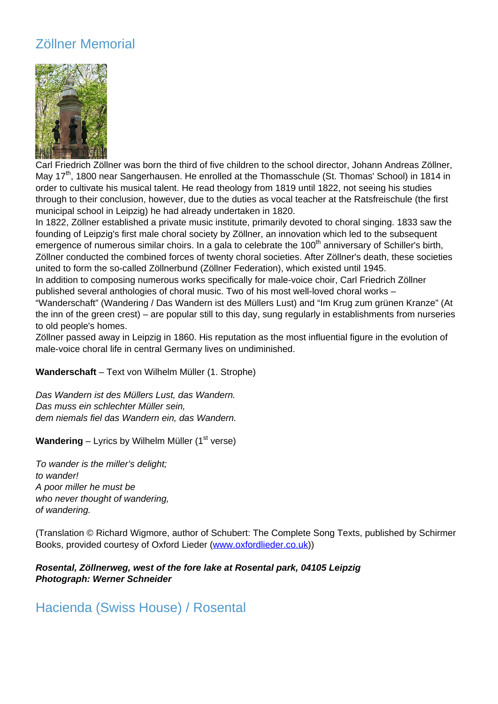# Zöllner Memorial



Carl Friedrich Zöllner was born the third of five children to the school director, Johann Andreas Zöllner, May 17<sup>th</sup>, 1800 near Sangerhausen. He enrolled at the Thomasschule (St. Thomas' School) in 1814 in order to cultivate his musical talent. He read theology from 1819 until 1822, not seeing his studies through to their conclusion, however, due to the duties as vocal teacher at the Ratsfreischule (the first municipal school in Leipzig) he had already undertaken in 1820.

In 1822, Zöllner established a private music institute, primarily devoted to choral singing. 1833 saw the founding of Leipzig's first male choral society by Zöllner, an innovation which led to the subsequent emergence of numerous similar choirs. In a gala to celebrate the 100<sup>th</sup> anniversary of Schiller's birth, Zöllner conducted the combined forces of twenty choral societies. After Zöllner's death, these societies united to form the so-called Zöllnerbund (Zöllner Federation), which existed until 1945.

In addition to composing numerous works specifically for male-voice choir, Carl Friedrich Zöllner published several anthologies of choral music. Two of his most well-loved choral works –

"Wanderschaft" (Wandering / Das Wandern ist des Müllers Lust) and "Im Krug zum grünen Kranze" (At the inn of the green crest) – are popular still to this day, sung regularly in establishments from nurseries to old people's homes.

Zöllner passed away in Leipzig in 1860. His reputation as the most influential figure in the evolution of male-voice choral life in central Germany lives on undiminished.

**Wanderschaft** – Text von Wilhelm Müller (1. Strophe)

Das Wandern ist des Müllers Lust, das Wandern. Das muss ein schlechter Müller sein, dem niemals fiel das Wandern ein, das Wandern.

**Wandering** – Lyrics by Wilhelm Müller (1<sup>st</sup> verse)

To wander is the miller's delight; to wander! A poor miller he must be who never thought of wandering, of wandering.

(Translation © Richard Wigmore, author of Schubert: The Complete Song Texts, published by Schirmer Books, provided courtesy of Oxford Lieder (www.oxfordlieder.co.uk))

**Rosental, Zöllnerweg, west of the fore lake at Rosental park, 04105 Leipzig Photograph: Werner Schneider**

Hacienda (Swiss House) / Rosental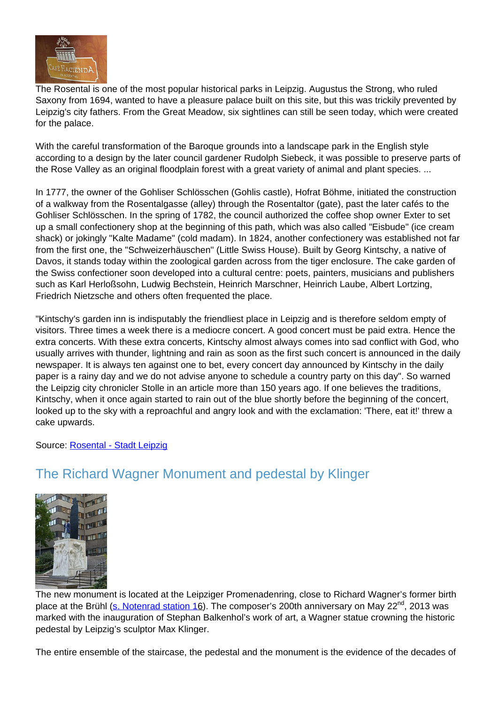

The Rosental is one of the most popular historical parks in Leipzig. Augustus the Strong, who ruled Saxony from 1694, wanted to have a pleasure palace built on this site, but this was trickily prevented by Leipzig's city fathers. From the Great Meadow, six sightlines can still be seen today, which were created for the palace.

With the careful transformation of the Baroque grounds into a landscape park in the English style according to a design by the later council gardener Rudolph Siebeck, it was possible to preserve parts of the Rose Valley as an original floodplain forest with a great variety of animal and plant species. ...

In 1777, the owner of the Gohliser Schlösschen (Gohlis castle), Hofrat Böhme, initiated the construction of a walkway from the Rosentalgasse (alley) through the Rosentaltor (gate), past the later cafés to the Gohliser Schlösschen. In the spring of 1782, the council authorized the coffee shop owner Exter to set up a small confectionery shop at the beginning of this path, which was also called "Eisbude" (ice cream shack) or jokingly "Kalte Madame" (cold madam). In 1824, another confectionery was established not far from the first one, the "Schweizerhäuschen" (Little Swiss House). Built by Georg Kintschy, a native of Davos, it stands today within the zoological garden across from the tiger enclosure. The cake garden of the Swiss confectioner soon developed into a cultural centre: poets, painters, musicians and publishers such as Karl Herloßsohn, Ludwig Bechstein, Heinrich Marschner, Heinrich Laube, Albert Lortzing, Friedrich Nietzsche and others often frequented the place.

"Kintschy's garden inn is indisputably the friendliest place in Leipzig and is therefore seldom empty of visitors. Three times a week there is a mediocre concert. A good concert must be paid extra. Hence the extra concerts. With these extra concerts, Kintschy almost always comes into sad conflict with God, who usually arrives with thunder, lightning and rain as soon as the first such concert is announced in the daily newspaper. It is always ten against one to bet, every concert day announced by Kintschy in the daily paper is a rainy day and we do not advise anyone to schedule a country party on this day". So warned the Leipzig city chronicler Stolle in an article more than 150 years ago. If one believes the traditions, Kintschy, when it once again started to rain out of the blue shortly before the beginning of the concert, looked up to the sky with a reproachful and angry look and with the exclamation: 'There, eat it!' threw a cake upwards.

Source: Rosental - Stadt Leipzig

# The Richard Wagner Monument and pedestal by Klinger



The new monument is located at the Leipziger Promenadenring, close to Richard Wagner's former birth place at the Brühl (s. Notenrad station 16). The composer's 200th anniversary on May 22<sup>nd</sup>, 2013 was marked with the inauguration of Stephan Balkenhol's work of art, a Wagner statue crowning the historic pedestal by Leipzig's sculptor Max Klinger.

The entire ensemble of the staircase, the pedestal and the monument is the evidence of the decades of